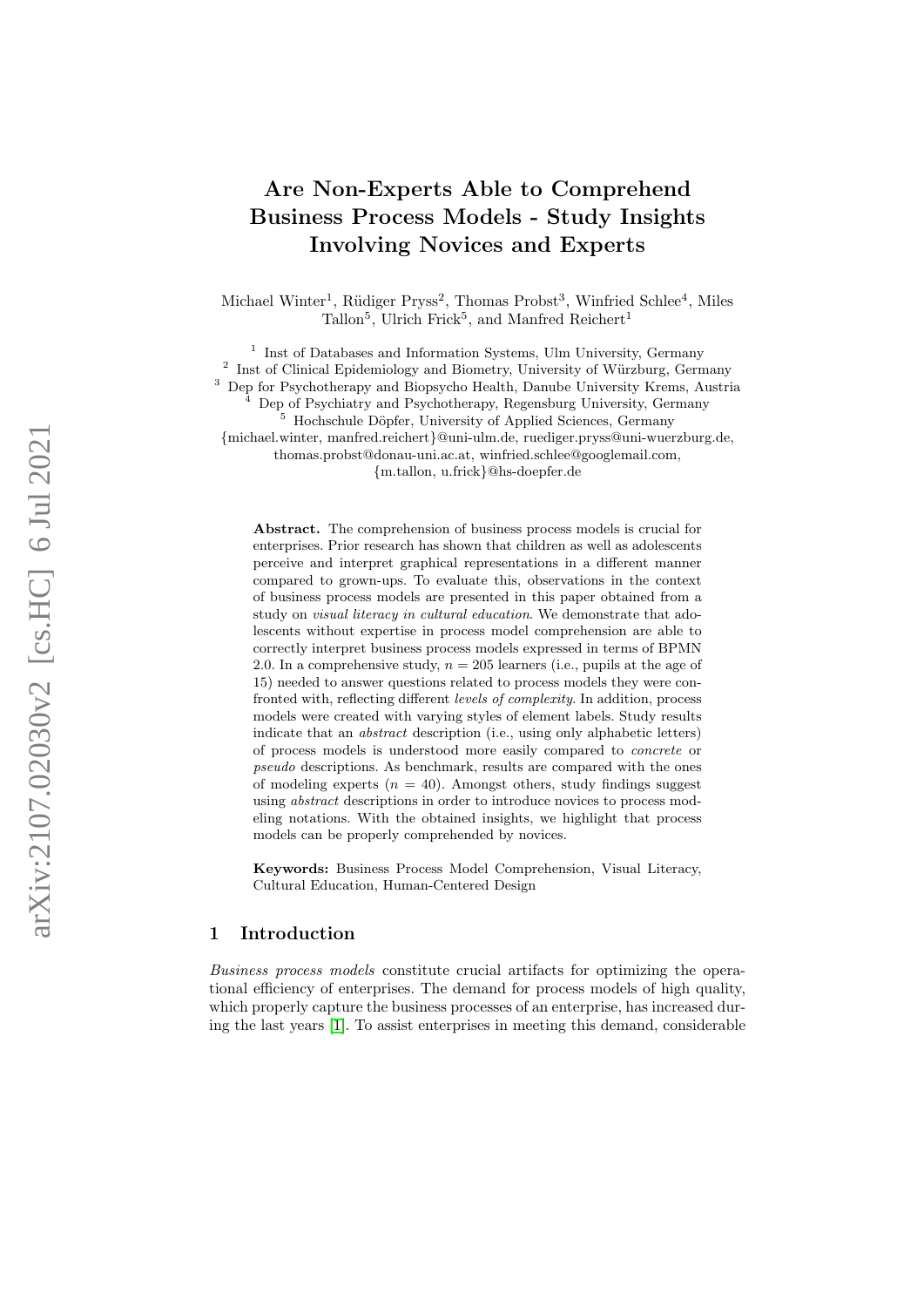# Are Non-Experts Able to Comprehend Business Process Models - Study Insights Involving Novices and Experts

Michael Winter<sup>1</sup>, Rüdiger Pryss<sup>2</sup>, Thomas Probst<sup>3</sup>, Winfried Schlee<sup>4</sup>, Miles Tallon<sup>5</sup>, Ulrich Frick<sup>5</sup>, and Manfred Reichert<sup>1</sup>

<sup>1</sup> Inst of Databases and Information Systems, Ulm University, Germany 2 Inst of Clinical Epidemiology and Biometry, University of Würzburg, Germany <sup>3</sup> Dep for Psychotherapy and Biopsycho Health, Danube University Krems, Austria

Dep of Psychiatry and Psychotherapy, Regensburg University, Germany

<sup>5</sup> Hochschule D¨opfer, University of Applied Sciences, Germany

{michael.winter, manfred.reichert}@uni-ulm.de, ruediger.pryss@uni-wuerzburg.de,

thomas.probst@donau-uni.ac.at, winfried.schlee@googlemail.com,

{m.tallon, u.frick}@hs-doepfer.de

Abstract. The comprehension of business process models is crucial for enterprises. Prior research has shown that children as well as adolescents perceive and interpret graphical representations in a different manner compared to grown-ups. To evaluate this, observations in the context of business process models are presented in this paper obtained from a study on visual literacy in cultural education. We demonstrate that adolescents without expertise in process model comprehension are able to correctly interpret business process models expressed in terms of BPMN 2.0. In a comprehensive study,  $n = 205$  learners (i.e., pupils at the age of 15) needed to answer questions related to process models they were confronted with, reflecting different levels of complexity. In addition, process models were created with varying styles of element labels. Study results indicate that an abstract description (i.e., using only alphabetic letters) of process models is understood more easily compared to concrete or pseudo descriptions. As benchmark, results are compared with the ones of modeling experts  $(n = 40)$ . Amongst others, study findings suggest using abstract descriptions in order to introduce novices to process modeling notations. With the obtained insights, we highlight that process models can be properly comprehended by novices.

Keywords: Business Process Model Comprehension, Visual Literacy, Cultural Education, Human-Centered Design

# 1 Introduction

Business process models constitute crucial artifacts for optimizing the operational efficiency of enterprises. The demand for process models of high quality, which properly capture the business processes of an enterprise, has increased during the last years [\[1\]](#page-14-0). To assist enterprises in meeting this demand, considerable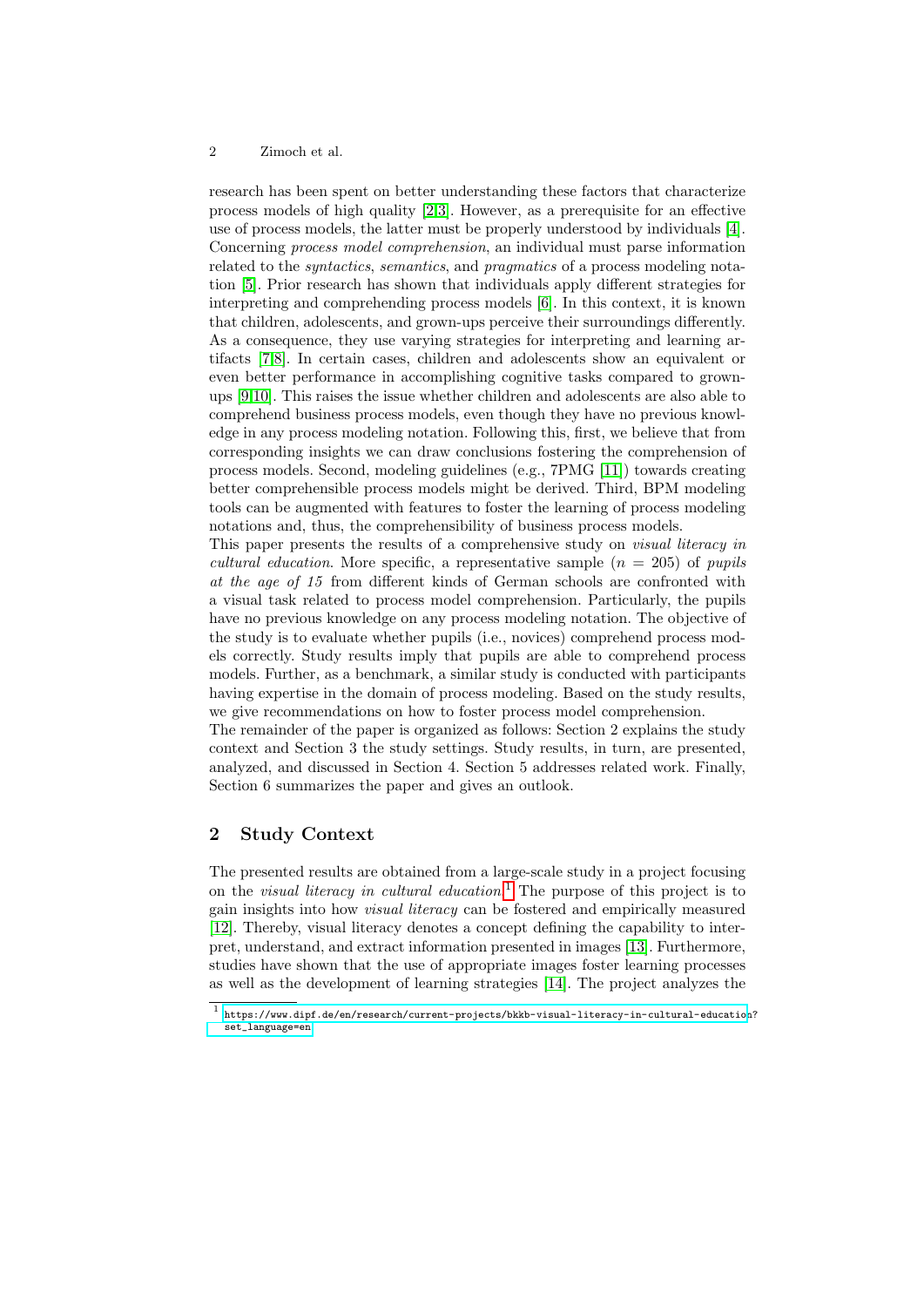research has been spent on better understanding these factors that characterize process models of high quality [\[2,](#page-14-1)[3\]](#page-14-2). However, as a prerequisite for an effective use of process models, the latter must be properly understood by individuals [\[4\]](#page-14-3). Concerning process model comprehension, an individual must parse information related to the syntactics, semantics, and pragmatics of a process modeling notation [\[5\]](#page-14-4). Prior research has shown that individuals apply different strategies for interpreting and comprehending process models [\[6\]](#page-14-5). In this context, it is known that children, adolescents, and grown-ups perceive their surroundings differently. As a consequence, they use varying strategies for interpreting and learning artifacts [\[7,](#page-14-6)[8\]](#page-14-7). In certain cases, children and adolescents show an equivalent or even better performance in accomplishing cognitive tasks compared to grownups [\[9](#page-14-8)[,10\]](#page-14-9). This raises the issue whether children and adolescents are also able to comprehend business process models, even though they have no previous knowledge in any process modeling notation. Following this, first, we believe that from corresponding insights we can draw conclusions fostering the comprehension of process models. Second, modeling guidelines (e.g., 7PMG [\[11\]](#page-14-10)) towards creating better comprehensible process models might be derived. Third, BPM modeling tools can be augmented with features to foster the learning of process modeling notations and, thus, the comprehensibility of business process models.

This paper presents the results of a comprehensive study on *visual literacy in* cultural education. More specific, a representative sample  $(n = 205)$  of pupils at the age of 15 from different kinds of German schools are confronted with a visual task related to process model comprehension. Particularly, the pupils have no previous knowledge on any process modeling notation. The objective of the study is to evaluate whether pupils (i.e., novices) comprehend process models correctly. Study results imply that pupils are able to comprehend process models. Further, as a benchmark, a similar study is conducted with participants having expertise in the domain of process modeling. Based on the study results, we give recommendations on how to foster process model comprehension.

The remainder of the paper is organized as follows: Section 2 explains the study context and Section 3 the study settings. Study results, in turn, are presented, analyzed, and discussed in Section 4. Section 5 addresses related work. Finally, Section 6 summarizes the paper and gives an outlook.

# 2 Study Context

The presented results are obtained from a large-scale study in a project focusing on the *visual literacy in cultural education*.<sup>[1](#page-1-0)</sup> The purpose of this project is to gain insights into how visual literacy can be fostered and empirically measured [\[12\]](#page-14-11). Thereby, visual literacy denotes a concept defining the capability to interpret, understand, and extract information presented in images [\[13\]](#page-14-12). Furthermore, studies have shown that the use of appropriate images foster learning processes as well as the development of learning strategies [\[14\]](#page-14-13). The project analyzes the

<span id="page-1-0"></span><sup>1</sup> [https://www.dipf.de/en/research/current-projects/bkkb-visual-literacy-in-cultural-education](https://www.dipf.de/en/research/current-projects/bkkb-visual-literacy-in-cultural-education?set_language=en)? [set\\_language=en](https://www.dipf.de/en/research/current-projects/bkkb-visual-literacy-in-cultural-education?set_language=en)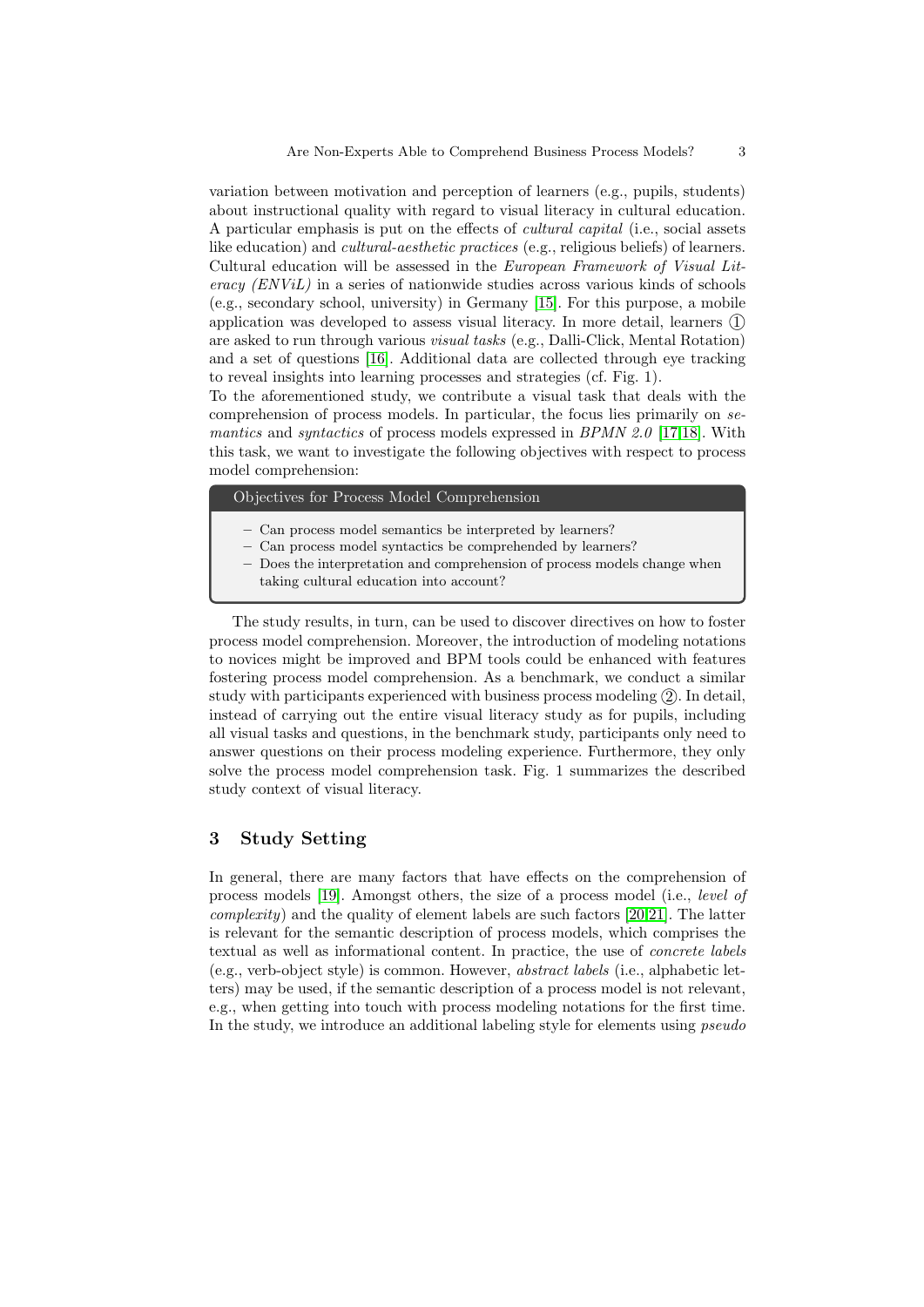variation between motivation and perception of learners (e.g., pupils, students) about instructional quality with regard to visual literacy in cultural education. A particular emphasis is put on the effects of cultural capital (i.e., social assets like education) and cultural-aesthetic practices (e.g., religious beliefs) of learners. Cultural education will be assessed in the European Framework of Visual Literacy (ENViL) in a series of nationwide studies across various kinds of schools (e.g., secondary school, university) in Germany [\[15\]](#page-14-14). For this purpose, a mobile application was developed to assess visual literacy. In more detail, learners  $\Omega$ are asked to run through various visual tasks (e.g., Dalli-Click, Mental Rotation) and a set of questions [\[16\]](#page-14-15). Additional data are collected through eye tracking to reveal insights into learning processes and strategies (cf. Fig. 1).

To the aforementioned study, we contribute a visual task that deals with the comprehension of process models. In particular, the focus lies primarily on semantics and *syntactics* of process models expressed in BPMN 2.0 [\[17,](#page-15-0)[18\]](#page-15-1). With this task, we want to investigate the following objectives with respect to process model comprehension:

Objectives for Process Model Comprehension

- Can process model semantics be interpreted by learners?
- Can process model syntactics be comprehended by learners?
- Does the interpretation and comprehension of process models change when taking cultural education into account?

The study results, in turn, can be used to discover directives on how to foster process model comprehension. Moreover, the introduction of modeling notations to novices might be improved and BPM tools could be enhanced with features fostering process model comprehension. As a benchmark, we conduct a similar study with participants experienced with business process modeling  $(2)$ . In detail, instead of carrying out the entire visual literacy study as for pupils, including all visual tasks and questions, in the benchmark study, participants only need to answer questions on their process modeling experience. Furthermore, they only solve the process model comprehension task. Fig. 1 summarizes the described study context of visual literacy.

# 3 Study Setting

In general, there are many factors that have effects on the comprehension of process models [\[19\]](#page-15-2). Amongst others, the size of a process model (i.e., level of  $complexity$ ) and the quality of element labels are such factors [\[20](#page-15-3)[,21\]](#page-15-4). The latter is relevant for the semantic description of process models, which comprises the textual as well as informational content. In practice, the use of concrete labels (e.g., verb-object style) is common. However, abstract labels (i.e., alphabetic letters) may be used, if the semantic description of a process model is not relevant, e.g., when getting into touch with process modeling notations for the first time. In the study, we introduce an additional labeling style for elements using *pseudo*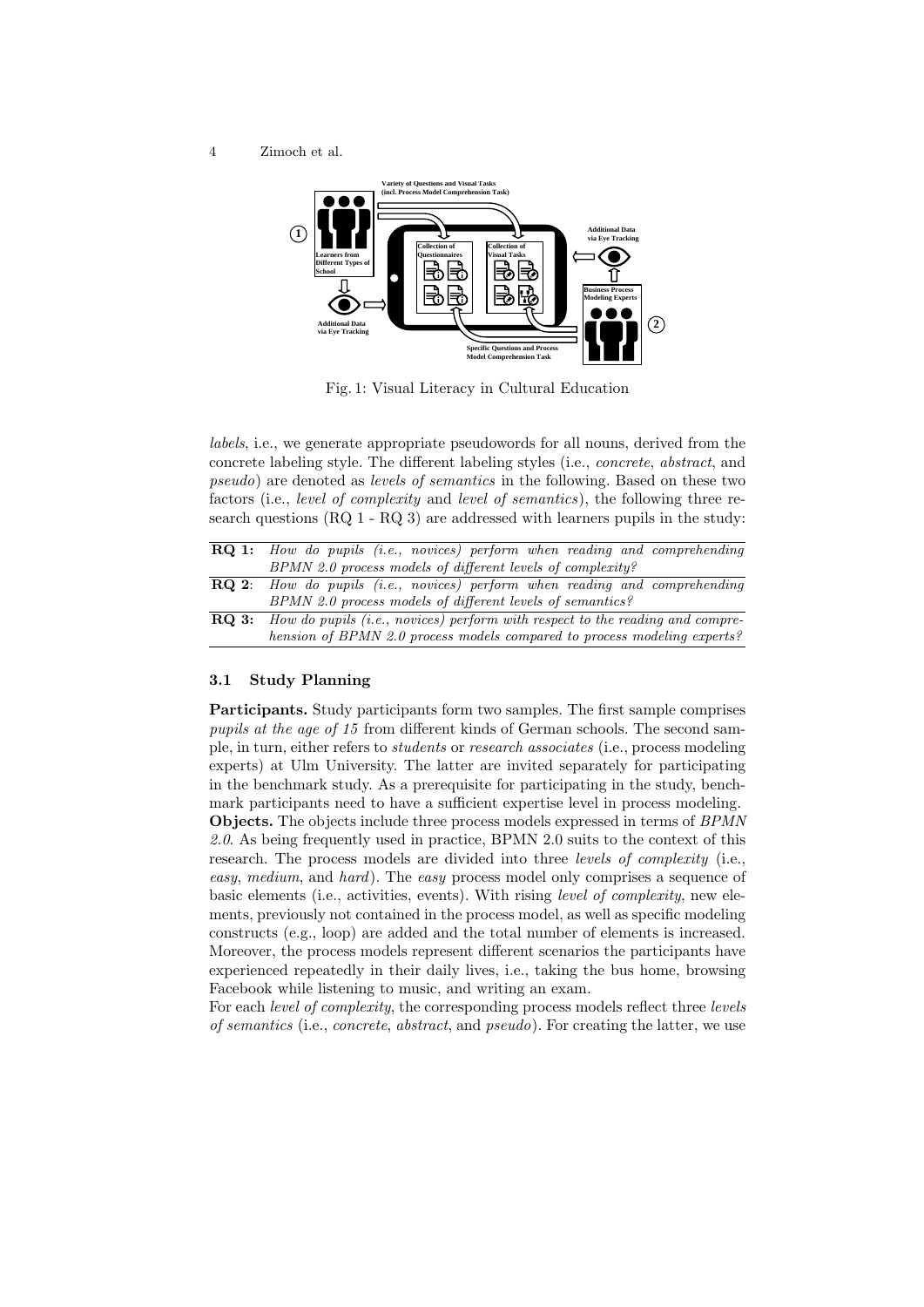

Fig. 1: Visual Literacy in Cultural Education

labels, i.e., we generate appropriate pseudowords for all nouns, derived from the concrete labeling style. The different labeling styles (i.e., concrete, abstract, and pseudo) are denoted as levels of semantics in the following. Based on these two factors (i.e., level of complexity and level of semantics), the following three research questions (RQ 1 - RQ 3) are addressed with learners pupils in the study:

|              | <b>RQ 1:</b> How do pupils (i.e., novices) perform when reading and comprehending |
|--------------|-----------------------------------------------------------------------------------|
|              | BPMN 2.0 process models of different levels of complexity?                        |
| $RO2$ :      | How do pupils (i.e., novices) perform when reading and comprehending              |
|              | BPMN 2.0 process models of different levels of semantics?                         |
| <b>RO 3:</b> | How do pupils (i.e., novices) perform with respect to the reading and compre-     |
|              | hension of BPMN 2.0 process models compared to process modeling experts?          |

## 3.1 Study Planning

Participants. Study participants form two samples. The first sample comprises pupils at the age of 15 from different kinds of German schools. The second sample, in turn, either refers to students or research associates (i.e., process modeling experts) at Ulm University. The latter are invited separately for participating in the benchmark study. As a prerequisite for participating in the study, benchmark participants need to have a sufficient expertise level in process modeling. Objects. The objects include three process models expressed in terms of BPMN 2.0. As being frequently used in practice, BPMN 2.0 suits to the context of this research. The process models are divided into three *levels of complexity* (i.e., easy, medium, and hard). The easy process model only comprises a sequence of basic elements (i.e., activities, events). With rising level of complexity, new elements, previously not contained in the process model, as well as specific modeling constructs (e.g., loop) are added and the total number of elements is increased. Moreover, the process models represent different scenarios the participants have experienced repeatedly in their daily lives, i.e., taking the bus home, browsing Facebook while listening to music, and writing an exam.

For each level of complexity, the corresponding process models reflect three levels of semantics (i.e., concrete, abstract, and pseudo). For creating the latter, we use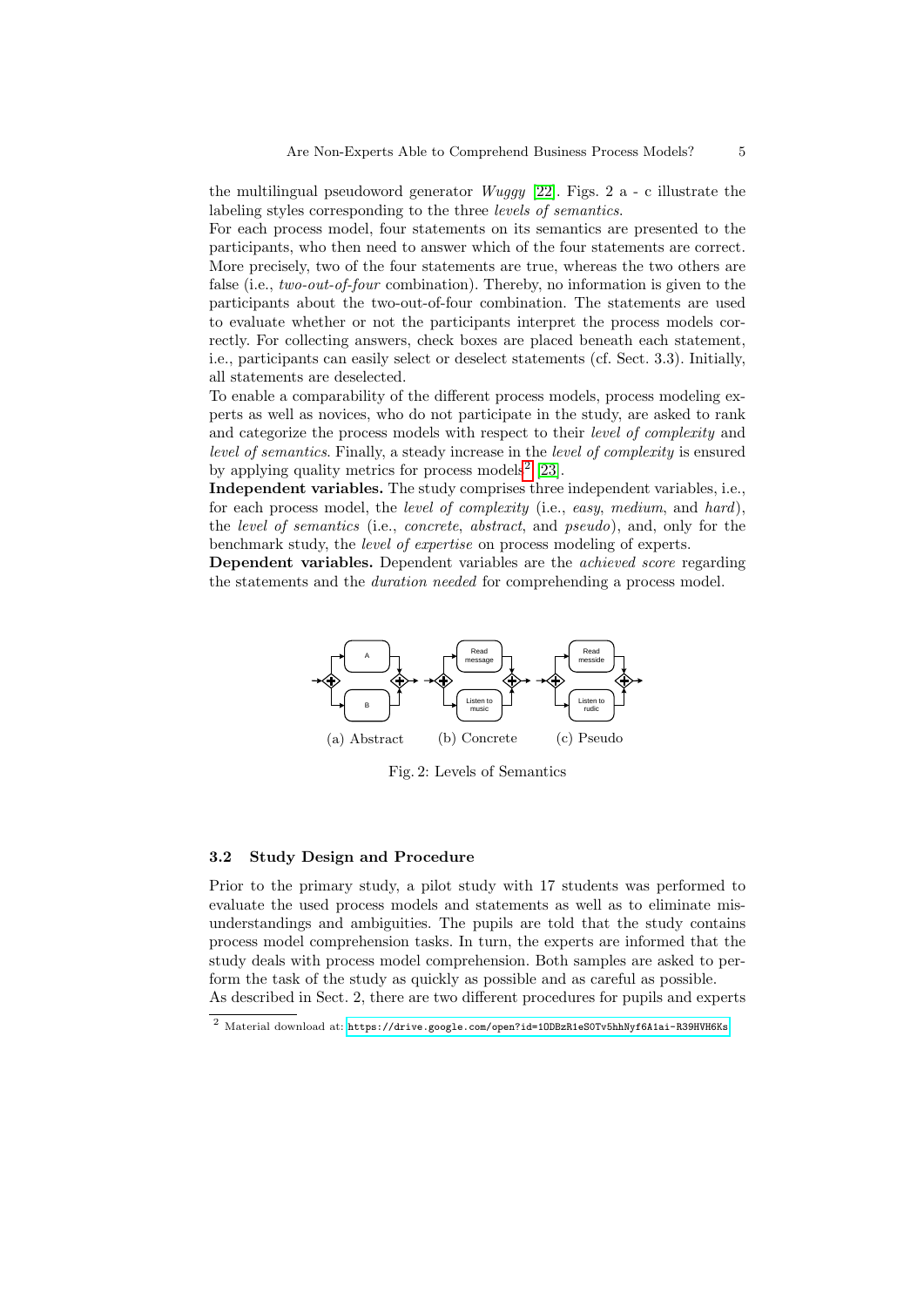the multilingual pseudoword generator  $Wuggy$  [\[22\]](#page-15-5). Figs. 2 a - c illustrate the labeling styles corresponding to the three levels of semantics.

For each process model, four statements on its semantics are presented to the participants, who then need to answer which of the four statements are correct. More precisely, two of the four statements are true, whereas the two others are false (i.e., *two-out-of-four* combination). Thereby, no information is given to the participants about the two-out-of-four combination. The statements are used to evaluate whether or not the participants interpret the process models correctly. For collecting answers, check boxes are placed beneath each statement, i.e., participants can easily select or deselect statements (cf. Sect. 3.3). Initially, all statements are deselected.

To enable a comparability of the different process models, process modeling experts as well as novices, who do not participate in the study, are asked to rank and categorize the process models with respect to their level of complexity and level of semantics. Finally, a steady increase in the level of complexity is ensured by applying quality metrics for process models<sup>[2](#page-4-0)</sup> [\[23\]](#page-15-6).

Independent variables. The study comprises three independent variables, i.e., for each process model, the *level of complexity* (i.e., easy, medium, and hard), the level of semantics (i.e., concrete, abstract, and pseudo), and, only for the benchmark study, the level of expertise on process modeling of experts.

Dependent variables. Dependent variables are the *achieved score* regarding the statements and the duration needed for comprehending a process model.



Fig. 2: Levels of Semantics

#### 3.2 Study Design and Procedure

Prior to the primary study, a pilot study with 17 students was performed to evaluate the used process models and statements as well as to eliminate misunderstandings and ambiguities. The pupils are told that the study contains process model comprehension tasks. In turn, the experts are informed that the study deals with process model comprehension. Both samples are asked to perform the task of the study as quickly as possible and as careful as possible. As described in Sect. 2, there are two different procedures for pupils and experts

<span id="page-4-0"></span> $^2$ Material download at: https://drive.google.com/open?id=10DBzR1eS0Tv5hhNyf6A1ai-R39HVH6Ks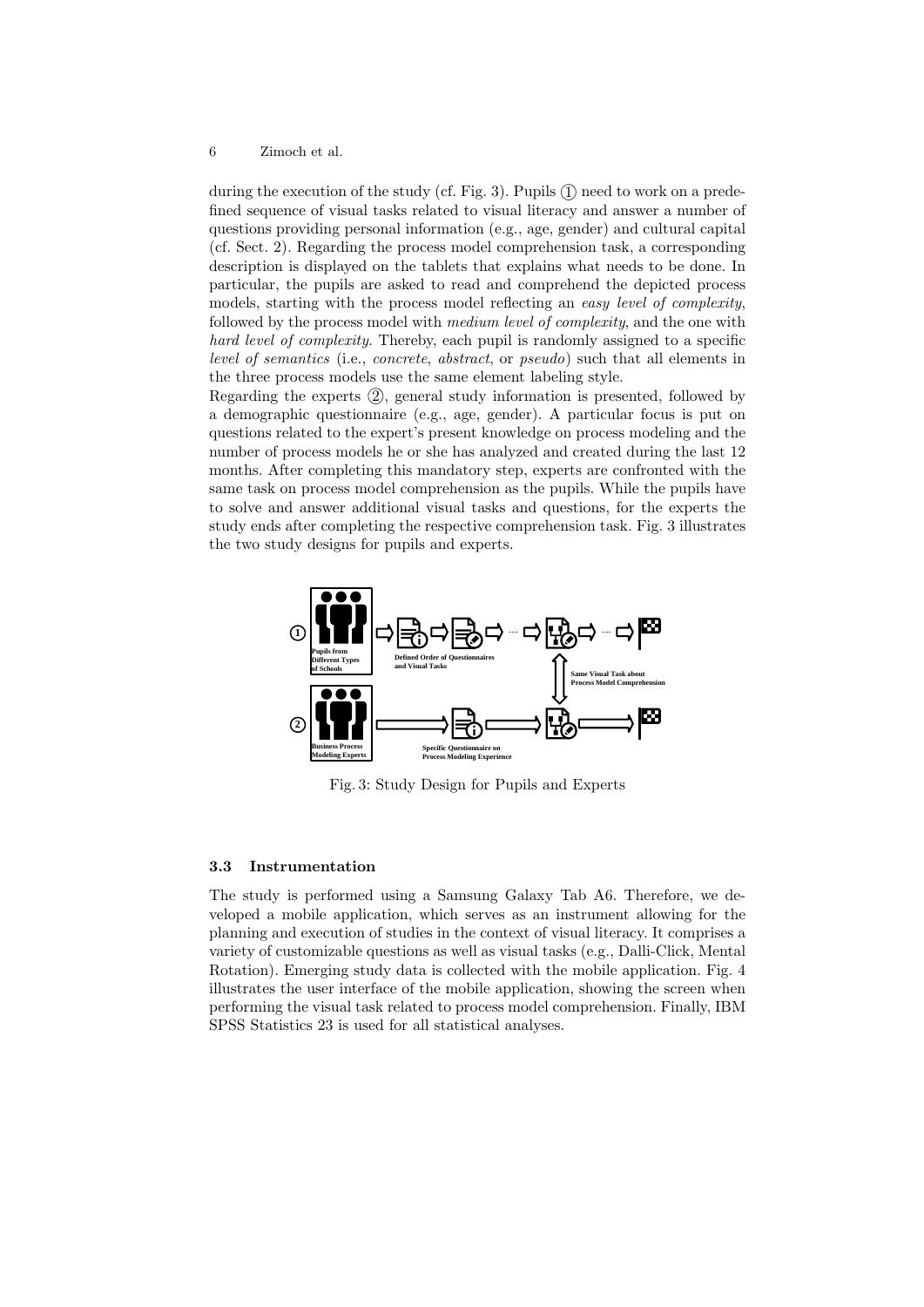during the execution of the study (cf. Fig. 3). Pupils  $\Omega$  need to work on a predefined sequence of visual tasks related to visual literacy and answer a number of questions providing personal information (e.g., age, gender) and cultural capital (cf. Sect. 2). Regarding the process model comprehension task, a corresponding description is displayed on the tablets that explains what needs to be done. In particular, the pupils are asked to read and comprehend the depicted process models, starting with the process model reflecting an easy level of complexity, followed by the process model with medium level of complexity, and the one with hard level of complexity. Thereby, each pupil is randomly assigned to a specific level of semantics (i.e., concrete, abstract, or pseudo) such that all elements in the three process models use the same element labeling style.

Regarding the experts  $(2)$ , general study information is presented, followed by a demographic questionnaire (e.g., age, gender). A particular focus is put on questions related to the expert's present knowledge on process modeling and the number of process models he or she has analyzed and created during the last 12 months. After completing this mandatory step, experts are confronted with the same task on process model comprehension as the pupils. While the pupils have to solve and answer additional visual tasks and questions, for the experts the study ends after completing the respective comprehension task. Fig. 3 illustrates the two study designs for pupils and experts.



Fig. 3: Study Design for Pupils and Experts

## 3.3 Instrumentation

The study is performed using a Samsung Galaxy Tab A6. Therefore, we developed a mobile application, which serves as an instrument allowing for the planning and execution of studies in the context of visual literacy. It comprises a variety of customizable questions as well as visual tasks (e.g., Dalli-Click, Mental Rotation). Emerging study data is collected with the mobile application. Fig. 4 illustrates the user interface of the mobile application, showing the screen when performing the visual task related to process model comprehension. Finally, IBM SPSS Statistics 23 is used for all statistical analyses.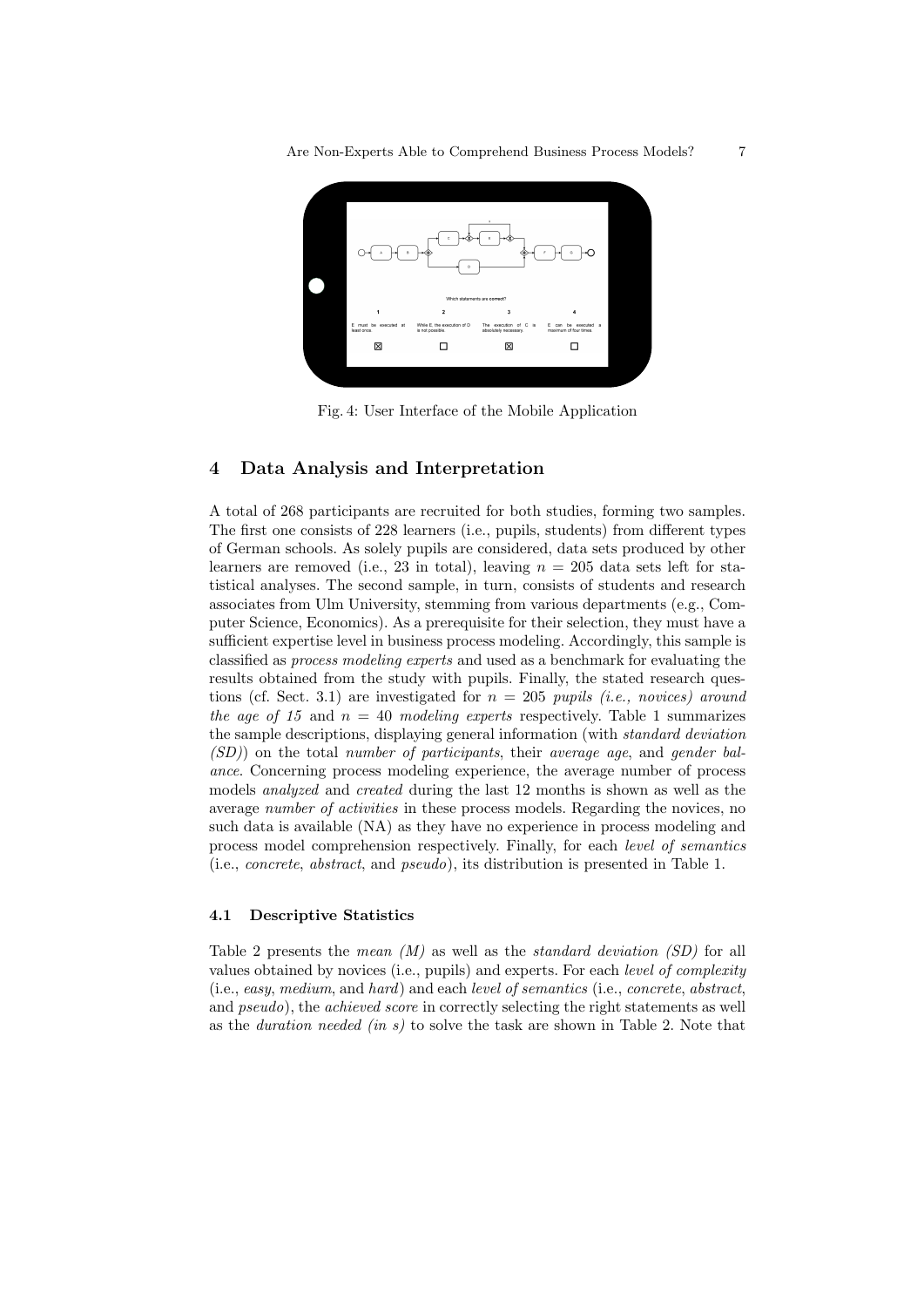

Fig. 4: User Interface of the Mobile Application

# 4 Data Analysis and Interpretation

A total of 268 participants are recruited for both studies, forming two samples. The first one consists of 228 learners (i.e., pupils, students) from different types of German schools. As solely pupils are considered, data sets produced by other learners are removed (i.e., 23 in total), leaving  $n = 205$  data sets left for statistical analyses. The second sample, in turn, consists of students and research associates from Ulm University, stemming from various departments (e.g., Computer Science, Economics). As a prerequisite for their selection, they must have a sufficient expertise level in business process modeling. Accordingly, this sample is classified as process modeling experts and used as a benchmark for evaluating the results obtained from the study with pupils. Finally, the stated research questions (cf. Sect. 3.1) are investigated for  $n = 205$  pupils (i.e., novices) around the age of 15 and  $n = 40$  modeling experts respectively. Table 1 summarizes the sample descriptions, displaying general information (with standard deviation (SD)) on the total number of participants, their average age, and gender balance. Concerning process modeling experience, the average number of process models analyzed and created during the last 12 months is shown as well as the average number of activities in these process models. Regarding the novices, no such data is available (NA) as they have no experience in process modeling and process model comprehension respectively. Finally, for each level of semantics (i.e., concrete, abstract, and pseudo), its distribution is presented in Table 1.

#### 4.1 Descriptive Statistics

Table 2 presents the *mean*  $(M)$  as well as the *standard deviation (SD)* for all values obtained by novices (i.e., pupils) and experts. For each level of complexity (i.e., easy, medium, and hard) and each level of semantics (i.e., concrete, abstract, and *pseudo*), the *achieved score* in correctly selecting the right statements as well as the *duration needed (in s)* to solve the task are shown in Table 2. Note that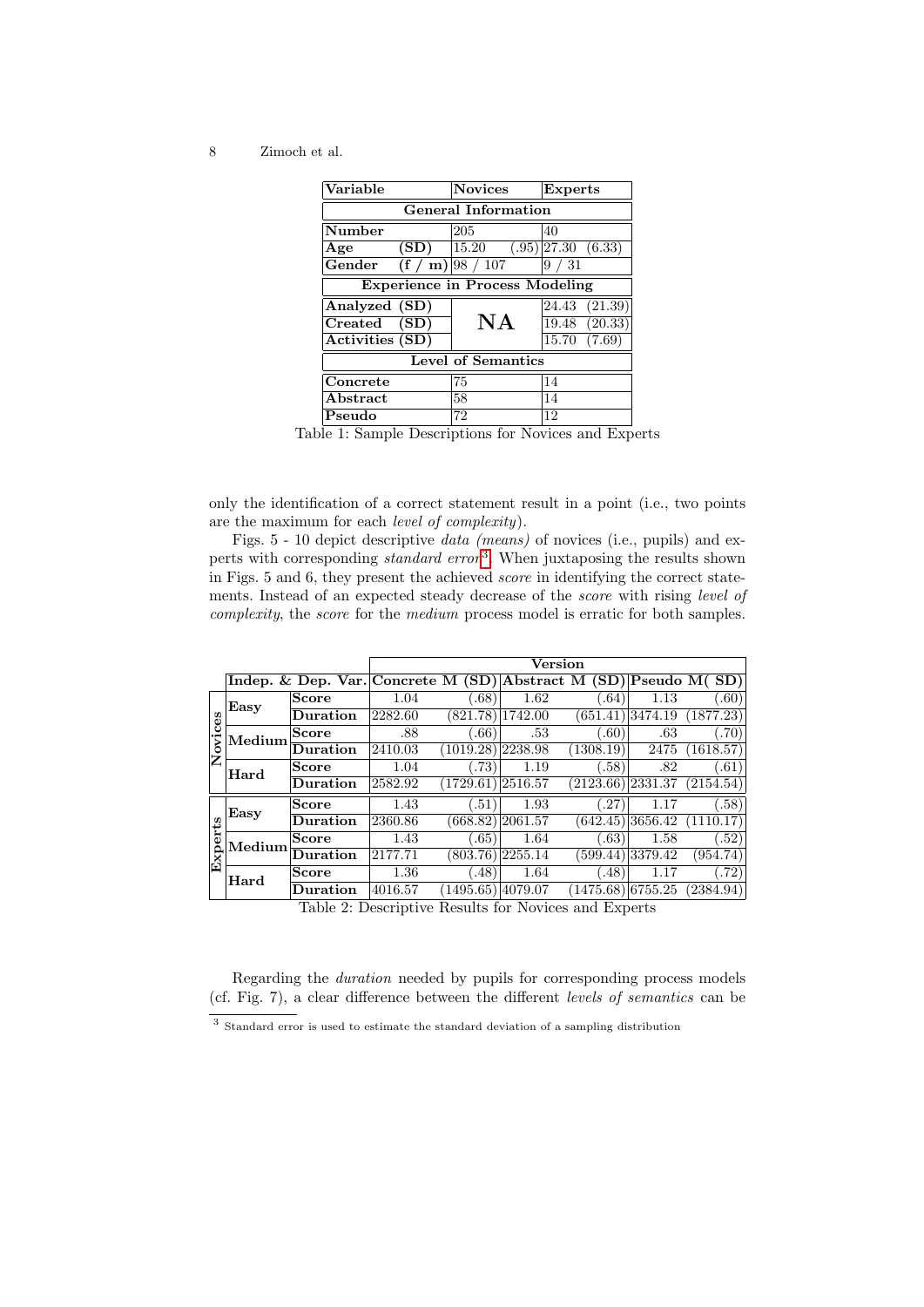| Variable                              |      | <b>Novices</b>     | <b>Experts</b>                |  |  |  |
|---------------------------------------|------|--------------------|-------------------------------|--|--|--|
| <b>General Information</b>            |      |                    |                               |  |  |  |
| Number                                |      | 205                | 40                            |  |  |  |
| Age                                   | (SD) | 15.20              | $(.95)$  27.30 $(6.33)$       |  |  |  |
| Gender                                |      | $(f / m)$ 98 / 107 | 31<br>9                       |  |  |  |
| <b>Experience in Process Modeling</b> |      |                    |                               |  |  |  |
| Analyzed (SD)                         |      |                    | $(21.\overline{39})$<br>24.43 |  |  |  |
| Created (SD)                          |      | NA                 | 19.48 (20.33)                 |  |  |  |
| Activities (SD)                       |      |                    | 15.70<br>(7.69)               |  |  |  |
| <b>Level of Semantics</b>             |      |                    |                               |  |  |  |
| Concrete                              |      | 75                 | 14                            |  |  |  |
| ${\bf Abstract}$                      |      | 58                 | 14                            |  |  |  |
| Pseudo                                |      | 72                 | 12                            |  |  |  |

Table 1: Sample Descriptions for Novices and Experts

only the identification of a correct statement result in a point (i.e., two points are the maximum for each level of complexity).

Figs. 5 - 10 depict descriptive data (means) of novices (i.e., pupils) and experts with corresponding *standard error*<sup>[3](#page-7-0)</sup>. When juxtaposing the results shown in Figs. 5 and 6, they present the achieved score in identifying the correct statements. Instead of an expected steady decrease of the score with rising level of complexity, the score for the medium process model is erratic for both samples.

|                |        |                                                                  | Version |           |          |           |         |           |
|----------------|--------|------------------------------------------------------------------|---------|-----------|----------|-----------|---------|-----------|
|                |        | Indep. & Dep. Var. Concrete M (SD) Abstract M (SD) Pseudo M (SD) |         |           |          |           |         |           |
| Novices        | Easy   | <b>Score</b>                                                     | 1.04    | (.68)     | 1.62     | .64)      | 1.13    | (.60)     |
|                |        | Duration                                                         | 2282.60 | (821.78)  | 1742.00  | 651.41    | 3474.19 | (1877.23) |
|                | Medium | <b>Score</b>                                                     | .88     | 0.66      | .53      | 0.60      | .63     | .70)      |
|                |        | Duration                                                         | 2410.03 | (1019.28) | 2238.98  | (1308.19) | 2475    | (1618.57) |
|                | Hard   | <b>Score</b>                                                     | 1.04    | .73)      | 1.19     | (.58)     | .82     | .61)      |
|                |        | Duration                                                         | 2582.92 | (1729.61) | 2516.57  | (2123.66) | 2331.37 | (2154.54) |
| rts            | Easy   | <b>Score</b>                                                     | 1.43    | (.51)     | 1.93     | .27       | 1.17    | (.58)     |
|                |        | <b>Duration</b>                                                  | 2360.86 | (668.82)  | 2061.57  | (642.45)  | 3656.42 | (1110.17) |
|                | Medium | <b>Score</b>                                                     | 1.43    | 0.65      | 1.64     | .63)      | 1.58    | (.52)     |
| $\mathbf{Exp}$ |        | Duration                                                         | 2177.71 | (803.76)  | 2255.14  | (599.44)  | 3379.42 | (954.74)  |
|                | Hard   | <b>Score</b>                                                     | 1.36    | (.48)     | 1.64     | (48)      | 1.17    | (72)      |
|                |        | Duration                                                         | 4016.57 | 1495.65)  | 14079.07 | 1475.68)  | 6755.25 | (2384.94) |

Table 2: Descriptive Results for Novices and Experts

Regarding the duration needed by pupils for corresponding process models (cf. Fig. 7), a clear difference between the different levels of semantics can be

<span id="page-7-0"></span><sup>&</sup>lt;sup>3</sup> Standard error is used to estimate the standard deviation of a sampling distribution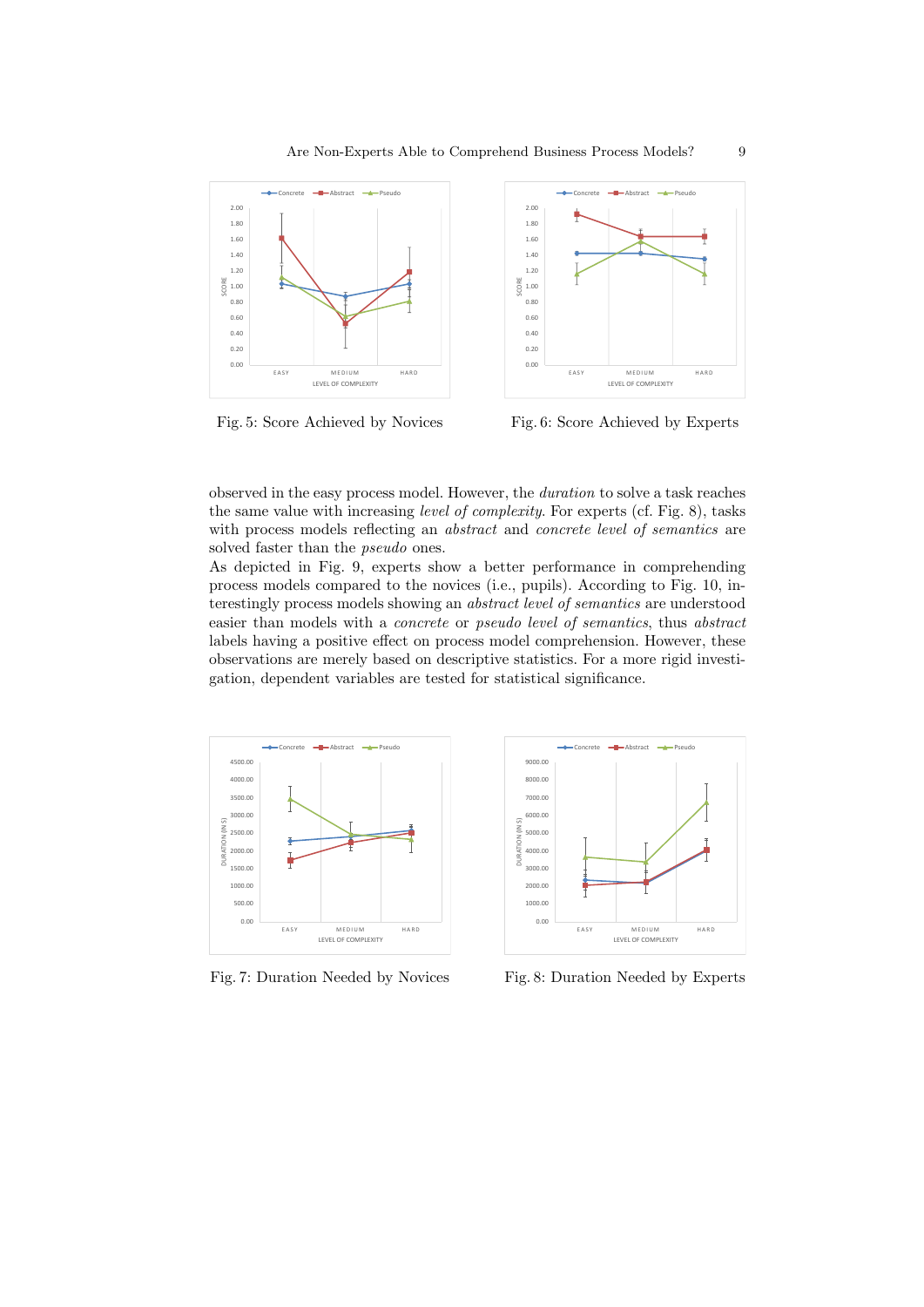

Fig. 5: Score Achieved by Novices

Fig. 6: Score Achieved by Experts

observed in the easy process model. However, the duration to solve a task reaches the same value with increasing level of complexity. For experts (cf. Fig. 8), tasks with process models reflecting an *abstract* and *concrete level of semantics* are solved faster than the *pseudo* ones.

As depicted in Fig. 9, experts show a better performance in comprehending process models compared to the novices (i.e., pupils). According to Fig. 10, interestingly process models showing an abstract level of semantics are understood easier than models with a concrete or pseudo level of semantics, thus abstract labels having a positive effect on process model comprehension. However, these observations are merely based on descriptive statistics. For a more rigid investigation, dependent variables are tested for statistical significance.



0.00 1000.00 2000.00 3000.00 4000.00 5000.00 6000.00 7000.00 8000.00  $9000.0$ E A S Y MEDIUM HARD DURATION (IN S) LEVEL OF COMPLEXITY ncrete **-B-Abstract** -A-Pseudo

Fig. 7: Duration Needed by Novices

Fig. 8: Duration Needed by Experts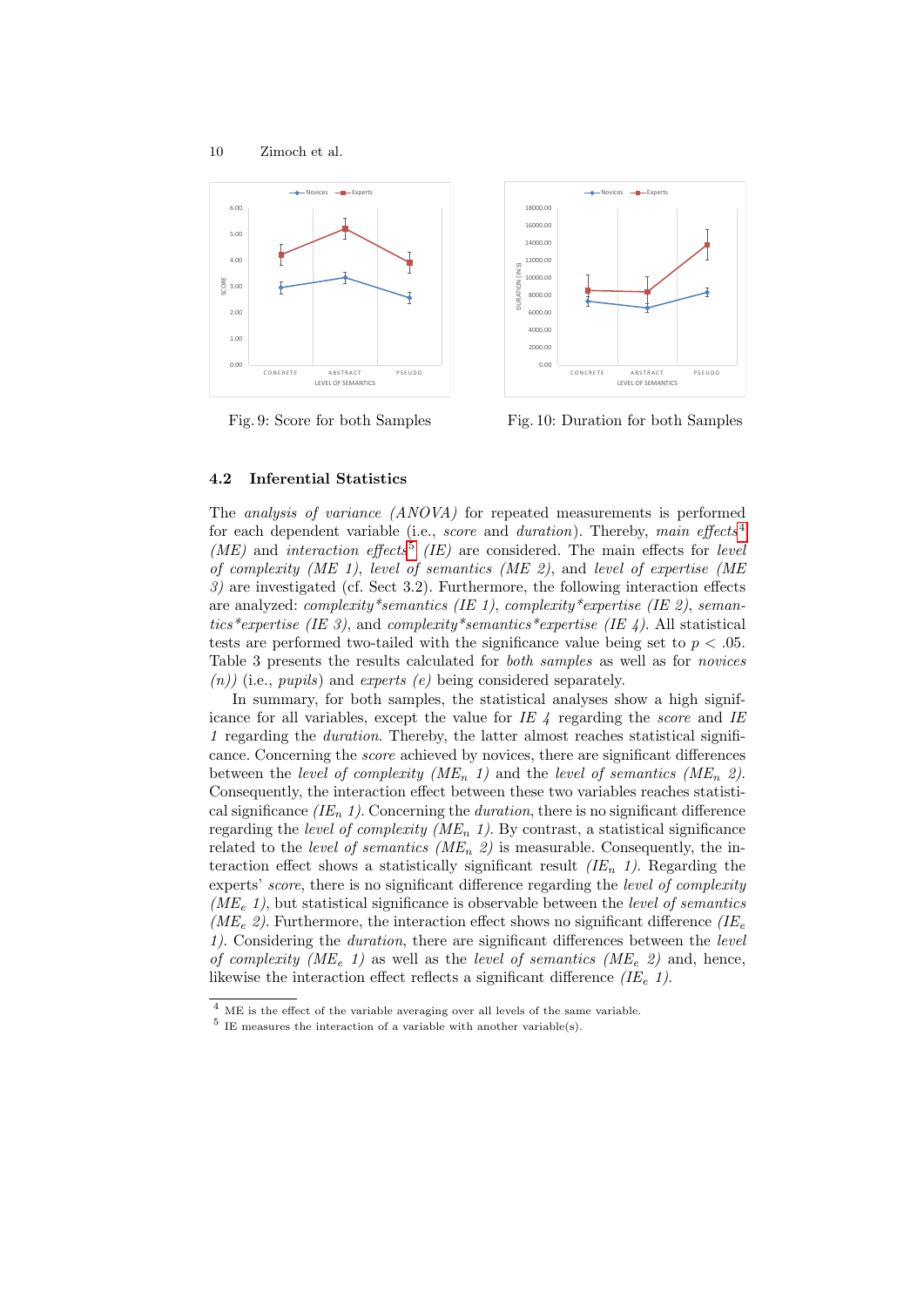

Fig. 9: Score for both Samples



Fig. 10: Duration for both Samples

#### 4.2 Inferential Statistics

The analysis of variance (ANOVA) for repeated measurements is performed for each dependent variable (i.e., *score* and *duration*). Thereby, main effects<sup>[4](#page-9-0)</sup>  $(ME)$  and interaction effects<sup>[5](#page-9-1)</sup> (IE) are considered. The main effects for level of complexity (ME 1), level of semantics (ME 2), and level of expertise (ME  $3$ ) are investigated (cf. Sect 3.2). Furthermore, the following interaction effects are analyzed: complexity\*semantics (IE 1), complexity\*expertise (IE 2), semantics\*expertise (IE 3), and complexity\*semantics\*expertise (IE 4). All statistical tests are performed two-tailed with the significance value being set to  $p < .05$ . Table 3 presents the results calculated for both samples as well as for novices  $(n)$ ) (i.e., *pupils*) and *experts (e)* being considered separately.

In summary, for both samples, the statistical analyses show a high significance for all variables, except the value for IE  $\angle$  regarding the score and IE 1 regarding the duration. Thereby, the latter almost reaches statistical significance. Concerning the score achieved by novices, there are significant differences between the level of complexity (ME<sub>n</sub> 1) and the level of semantics (ME<sub>n</sub> 2). Consequently, the interaction effect between these two variables reaches statistical significance  $(IE_n 1)$ . Concerning the *duration*, there is no significant difference regarding the level of complexity ( $ME_n$  1). By contrast, a statistical significance related to the *level of semantics* ( $ME_n$  2) is measurable. Consequently, the interaction effect shows a statistically significant result  $(IE_n 1)$ . Regarding the experts' score, there is no significant difference regarding the level of complexity  $(ME<sub>e</sub> 1)$ , but statistical significance is observable between the *level of semantics* ( $ME_e$  2). Furthermore, the interaction effect shows no significant difference ( $IE_e$ ) 1). Considering the duration, there are significant differences between the level of complexity (ME<sub>e</sub> 1) as well as the level of semantics (ME<sub>e</sub> 2) and, hence, likewise the interaction effect reflects a significant difference  $(IE_{e} 1)$ .

<span id="page-9-0"></span> $\overline{4}$  ME is the effect of the variable averaging over all levels of the same variable.

<span id="page-9-1"></span> $5$  IE measures the interaction of a variable with another variable(s).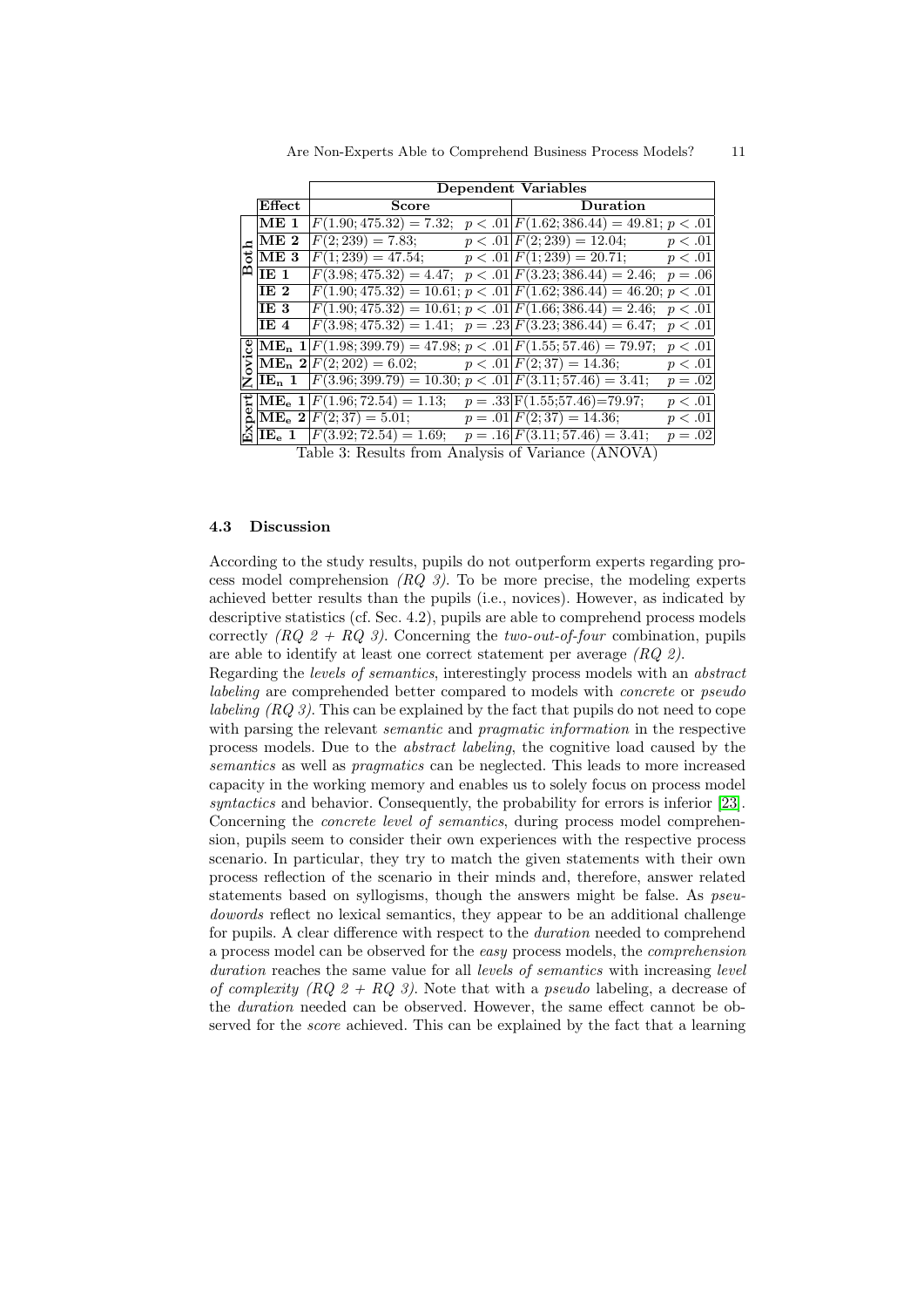|        |                 | Dependent Variables                                                                                                                                                                                                                                                                                                                                                          |  |          |                      |  |  |
|--------|-----------------|------------------------------------------------------------------------------------------------------------------------------------------------------------------------------------------------------------------------------------------------------------------------------------------------------------------------------------------------------------------------------|--|----------|----------------------|--|--|
|        | Effect          | <b>Score</b>                                                                                                                                                                                                                                                                                                                                                                 |  | Duration |                      |  |  |
| ಕ<br>മ | ME <sub>1</sub> | $F(1.90; 475.32) = 7.32; p < .01   F(1.62; 386.44) = 49.81; p < .01$                                                                                                                                                                                                                                                                                                         |  |          |                      |  |  |
|        | ME <sub>2</sub> | $F(2; 239) = 7.83;$ $p < .01 \mid F(2; 239) = 12.04;$ $p < .01$                                                                                                                                                                                                                                                                                                              |  |          |                      |  |  |
|        | ME <sub>3</sub> | $F(1;239) = 47.54;$ $p < .01 \,   F(1;239) = 20.71;$ $p < .01$                                                                                                                                                                                                                                                                                                               |  |          |                      |  |  |
|        | E1              | $F(3.98; 475.32) = 4.47; p < .01$ $F(3.23; 386.44) = 2.46; p = .06$                                                                                                                                                                                                                                                                                                          |  |          |                      |  |  |
|        | IE <sub>2</sub> | $F(1.90; 475.32) = 10.61; p < .01 \vert F(1.62; 386.44) = 46.20; p < .01 \vert$                                                                                                                                                                                                                                                                                              |  |          |                      |  |  |
|        | IE 3            | $F(1.90; 475.32) = 10.61; p < .01 F(1.66; 386.44) = 2.46; p < .01$                                                                                                                                                                                                                                                                                                           |  |          |                      |  |  |
|        | IE 4            | $F(3.98; 475.32) = 1.41; \ \ p = .23 \ F(3.23; 386.44) = 6.47; \ \ p < .01$                                                                                                                                                                                                                                                                                                  |  |          |                      |  |  |
| Ż      |                 | $\mathcal{L}[\text{ME}_{n} \ 1] F(1.98; 399.79) = 47.98; p < .01 \ F(1.55; 57.46) = 79.97; p < .01$                                                                                                                                                                                                                                                                          |  |          |                      |  |  |
|        |                 | $\sum_{n=1}^{\infty} \frac{ \mathbf{M} \mathbf{E_n} ^2 F(2; 202) = 6.02; \quad p < .01 F(2; 37) = 14.36; \quad p < .01 }{\sum_{n=1}^{\infty} \frac{ \mathbf{M} \mathbf{E_n} ^2 F(2; 202) - 6.02 }{\sum_{n=1}^{\infty} \frac{ \mathbf{M} \mathbf{E_n} ^2 F(2; 202) - 6.02 }{\sum_{n=1}^{\infty} \frac{ \mathbf{M} \mathbf{E_n} ^2 F(2; 202) - 6.02 }{$                        |  |          |                      |  |  |
|        | $ IE_n 1 $      | $F(3.96; 399.79) = 10.30; p < .01$ $F(3.11; 57.46) = 3.41;$                                                                                                                                                                                                                                                                                                                  |  |          | $p=.02$              |  |  |
|        |                 | $\sharp$ ME <sub>e</sub> 1 $F(1.96; 72.54) = 1.13;$ $p = .33 \text{F}(1.55; 57.46) = 79.97;$                                                                                                                                                                                                                                                                                 |  |          | p < .01              |  |  |
|        |                 | $\begin{array}{lll}\n\overline{\mathbf{Q}} & \overline{\mathbf{M}}\overline{\mathbf{E}}_{\mathbf{e}} & \mathbf{2} \overline{F(2;37) = 5.01;} & p = .01 \overline{F(2;37) = 14.36;} \\ \overline{\mathbf{Q}} & \overline{\mathbf{I}}\overline{\mathbf{E}}_{\mathbf{e}} & \mathbf{1} \overline{F(3.92;72.54) = 1.69;} & p = .16 \overline{F(3.11;57.46) = 3.41;}\n\end{array}$ |  |          | p < .01              |  |  |
|        |                 | $\text{Table 2:}$ Peculta from Anglycia of Verience $(\Lambda \text{MOMA})$                                                                                                                                                                                                                                                                                                  |  |          | $\overline{p} = .02$ |  |  |

Table 3: Results from Analysis of Variance (ANOVA)

## 4.3 Discussion

According to the study results, pupils do not outperform experts regarding process model comprehension  $(RQ_3)$ . To be more precise, the modeling experts achieved better results than the pupils (i.e., novices). However, as indicated by descriptive statistics (cf. Sec. 4.2), pupils are able to comprehend process models correctly  $(RQ \, 2 + RQ \, 3)$ . Concerning the two-out-of-four combination, pupils are able to identify at least one correct statement per average (RQ 2).

Regarding the levels of semantics, interestingly process models with an abstract labeling are comprehended better compared to models with concrete or pseudo labeling  $(RQ \hat{3})$ . This can be explained by the fact that pupils do not need to cope with parsing the relevant *semantic* and *pragmatic information* in the respective process models. Due to the abstract labeling, the cognitive load caused by the semantics as well as *pragmatics* can be neglected. This leads to more increased capacity in the working memory and enables us to solely focus on process model syntactics and behavior. Consequently, the probability for errors is inferior [\[23\]](#page-15-6). Concerning the *concrete level of semantics*, during process model comprehension, pupils seem to consider their own experiences with the respective process scenario. In particular, they try to match the given statements with their own process reflection of the scenario in their minds and, therefore, answer related statements based on syllogisms, though the answers might be false. As *pseu*dowords reflect no lexical semantics, they appear to be an additional challenge for pupils. A clear difference with respect to the duration needed to comprehend a process model can be observed for the easy process models, the comprehension duration reaches the same value for all *levels of semantics* with increasing *level* of complexity  $(RQ 2 + RQ 3)$ . Note that with a pseudo labeling, a decrease of the duration needed can be observed. However, the same effect cannot be observed for the *score* achieved. This can be explained by the fact that a learning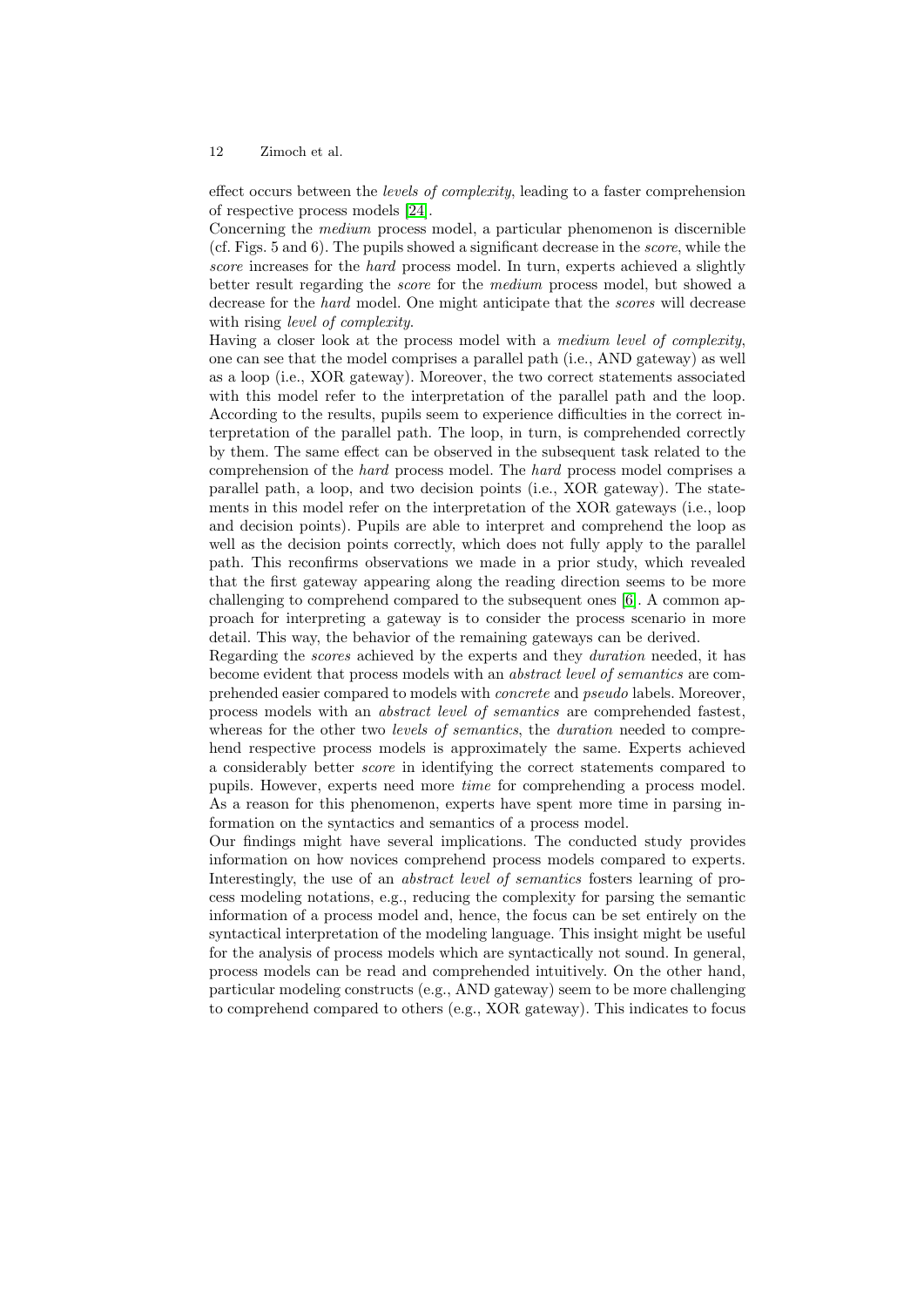effect occurs between the levels of complexity, leading to a faster comprehension of respective process models [\[24\]](#page-15-7).

Concerning the medium process model, a particular phenomenon is discernible (cf. Figs. 5 and 6). The pupils showed a significant decrease in the score, while the score increases for the *hard* process model. In turn, experts achieved a slightly better result regarding the score for the medium process model, but showed a decrease for the *hard* model. One might anticipate that the *scores* will decrease with rising *level* of *complexity*.

Having a closer look at the process model with a medium level of complexity, one can see that the model comprises a parallel path (i.e., AND gateway) as well as a loop (i.e., XOR gateway). Moreover, the two correct statements associated with this model refer to the interpretation of the parallel path and the loop. According to the results, pupils seem to experience difficulties in the correct interpretation of the parallel path. The loop, in turn, is comprehended correctly by them. The same effect can be observed in the subsequent task related to the comprehension of the hard process model. The hard process model comprises a parallel path, a loop, and two decision points (i.e., XOR gateway). The statements in this model refer on the interpretation of the XOR gateways (i.e., loop and decision points). Pupils are able to interpret and comprehend the loop as well as the decision points correctly, which does not fully apply to the parallel path. This reconfirms observations we made in a prior study, which revealed that the first gateway appearing along the reading direction seems to be more challenging to comprehend compared to the subsequent ones [\[6\]](#page-14-5). A common approach for interpreting a gateway is to consider the process scenario in more detail. This way, the behavior of the remaining gateways can be derived.

Regarding the scores achieved by the experts and they duration needed, it has become evident that process models with an abstract level of semantics are comprehended easier compared to models with concrete and pseudo labels. Moreover, process models with an abstract level of semantics are comprehended fastest, whereas for the other two *levels of semantics*, the *duration* needed to comprehend respective process models is approximately the same. Experts achieved a considerably better score in identifying the correct statements compared to pupils. However, experts need more time for comprehending a process model. As a reason for this phenomenon, experts have spent more time in parsing information on the syntactics and semantics of a process model.

Our findings might have several implications. The conducted study provides information on how novices comprehend process models compared to experts. Interestingly, the use of an abstract level of semantics fosters learning of process modeling notations, e.g., reducing the complexity for parsing the semantic information of a process model and, hence, the focus can be set entirely on the syntactical interpretation of the modeling language. This insight might be useful for the analysis of process models which are syntactically not sound. In general, process models can be read and comprehended intuitively. On the other hand, particular modeling constructs (e.g., AND gateway) seem to be more challenging to comprehend compared to others (e.g., XOR gateway). This indicates to focus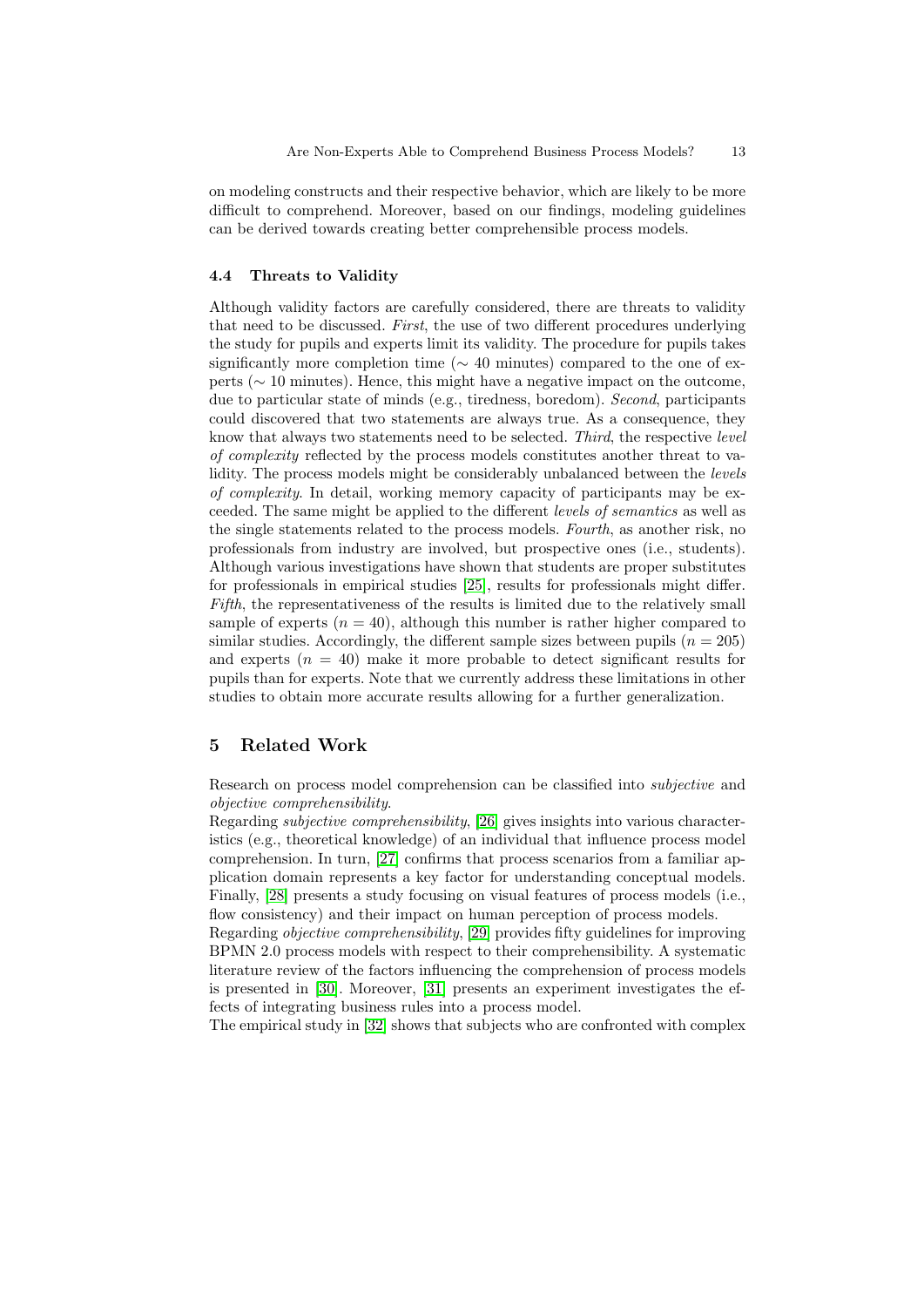on modeling constructs and their respective behavior, which are likely to be more difficult to comprehend. Moreover, based on our findings, modeling guidelines can be derived towards creating better comprehensible process models.

## 4.4 Threats to Validity

Although validity factors are carefully considered, there are threats to validity that need to be discussed. First, the use of two different procedures underlying the study for pupils and experts limit its validity. The procedure for pupils takes significantly more completion time ( $\sim$  40 minutes) compared to the one of experts (∼ 10 minutes). Hence, this might have a negative impact on the outcome, due to particular state of minds (e.g., tiredness, boredom). Second, participants could discovered that two statements are always true. As a consequence, they know that always two statements need to be selected. Third, the respective level of complexity reflected by the process models constitutes another threat to validity. The process models might be considerably unbalanced between the *levels* of complexity. In detail, working memory capacity of participants may be exceeded. The same might be applied to the different levels of semantics as well as the single statements related to the process models. Fourth, as another risk, no professionals from industry are involved, but prospective ones (i.e., students). Although various investigations have shown that students are proper substitutes for professionals in empirical studies [\[25\]](#page-15-8), results for professionals might differ. Fifth, the representativeness of the results is limited due to the relatively small sample of experts  $(n = 40)$ , although this number is rather higher compared to similar studies. Accordingly, the different sample sizes between pupils ( $n = 205$ ) and experts  $(n = 40)$  make it more probable to detect significant results for pupils than for experts. Note that we currently address these limitations in other studies to obtain more accurate results allowing for a further generalization.

# 5 Related Work

Research on process model comprehension can be classified into subjective and objective comprehensibility.

Regarding subjective comprehensibility, [\[26\]](#page-15-9) gives insights into various characteristics (e.g., theoretical knowledge) of an individual that influence process model comprehension. In turn, [\[27\]](#page-15-10) confirms that process scenarios from a familiar application domain represents a key factor for understanding conceptual models. Finally, [\[28\]](#page-15-11) presents a study focusing on visual features of process models (i.e., flow consistency) and their impact on human perception of process models.

Regarding objective comprehensibility, [\[29\]](#page-15-12) provides fifty guidelines for improving BPMN 2.0 process models with respect to their comprehensibility. A systematic literature review of the factors influencing the comprehension of process models is presented in [\[30\]](#page-15-13). Moreover, [\[31\]](#page-15-14) presents an experiment investigates the effects of integrating business rules into a process model.

The empirical study in [\[32\]](#page-15-15) shows that subjects who are confronted with complex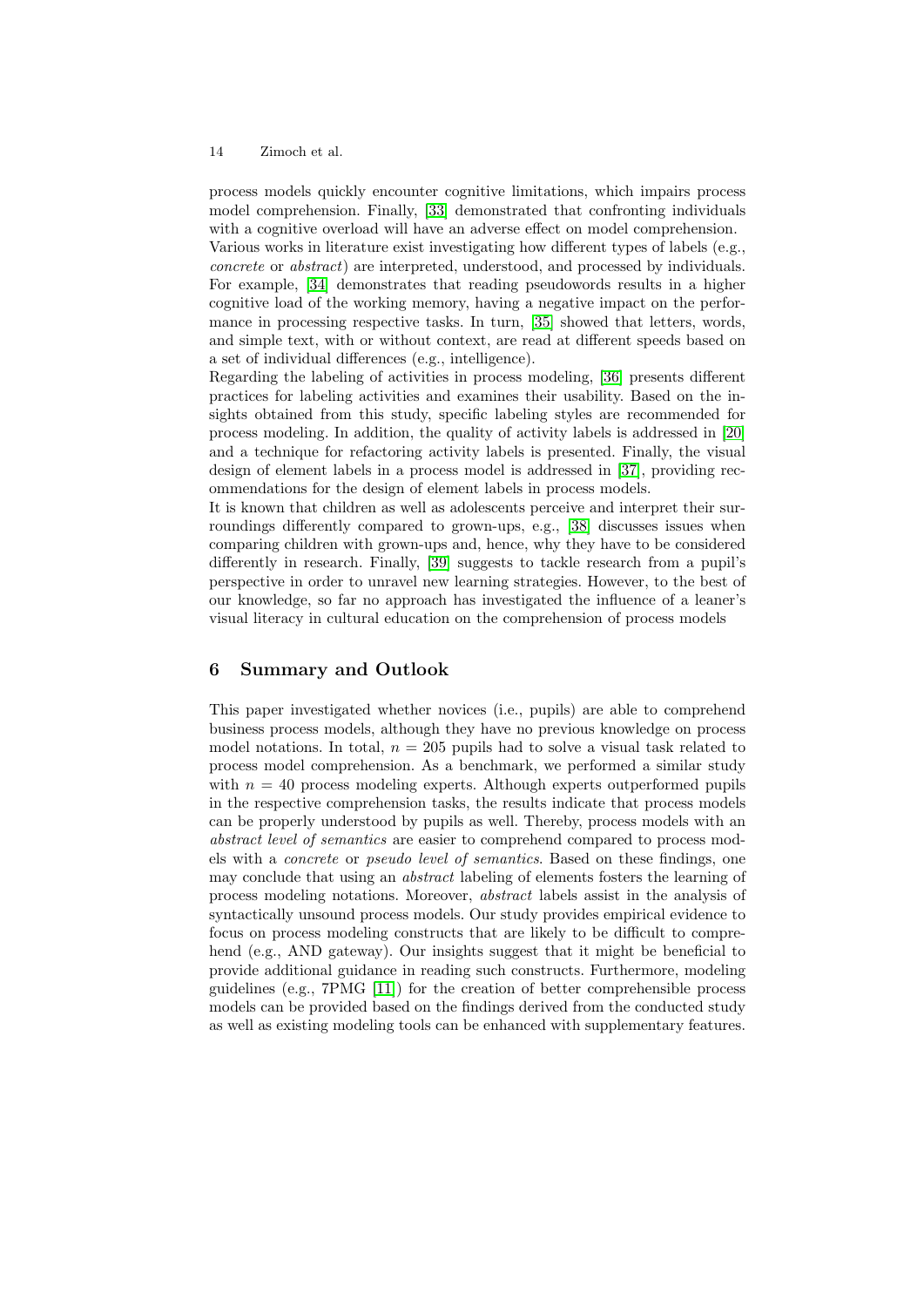process models quickly encounter cognitive limitations, which impairs process model comprehension. Finally, [\[33\]](#page-15-16) demonstrated that confronting individuals with a cognitive overload will have an adverse effect on model comprehension.

Various works in literature exist investigating how different types of labels (e.g., concrete or abstract) are interpreted, understood, and processed by individuals. For example, [\[34\]](#page-15-17) demonstrates that reading pseudowords results in a higher cognitive load of the working memory, having a negative impact on the performance in processing respective tasks. In turn, [\[35\]](#page-15-18) showed that letters, words, and simple text, with or without context, are read at different speeds based on a set of individual differences (e.g., intelligence).

Regarding the labeling of activities in process modeling, [\[36\]](#page-15-19) presents different practices for labeling activities and examines their usability. Based on the insights obtained from this study, specific labeling styles are recommended for process modeling. In addition, the quality of activity labels is addressed in [\[20\]](#page-15-3) and a technique for refactoring activity labels is presented. Finally, the visual design of element labels in a process model is addressed in [\[37\]](#page-15-20), providing recommendations for the design of element labels in process models.

It is known that children as well as adolescents perceive and interpret their surroundings differently compared to grown-ups, e.g., [\[38\]](#page-15-21) discusses issues when comparing children with grown-ups and, hence, why they have to be considered differently in research. Finally, [\[39\]](#page-15-22) suggests to tackle research from a pupil's perspective in order to unravel new learning strategies. However, to the best of our knowledge, so far no approach has investigated the influence of a leaner's visual literacy in cultural education on the comprehension of process models

# 6 Summary and Outlook

This paper investigated whether novices (i.e., pupils) are able to comprehend business process models, although they have no previous knowledge on process model notations. In total,  $n = 205$  pupils had to solve a visual task related to process model comprehension. As a benchmark, we performed a similar study with  $n = 40$  process modeling experts. Although experts outperformed pupils in the respective comprehension tasks, the results indicate that process models can be properly understood by pupils as well. Thereby, process models with an abstract level of semantics are easier to comprehend compared to process models with a concrete or pseudo level of semantics. Based on these findings, one may conclude that using an *abstract* labeling of elements fosters the learning of process modeling notations. Moreover, abstract labels assist in the analysis of syntactically unsound process models. Our study provides empirical evidence to focus on process modeling constructs that are likely to be difficult to comprehend (e.g., AND gateway). Our insights suggest that it might be beneficial to provide additional guidance in reading such constructs. Furthermore, modeling guidelines (e.g., 7PMG [\[11\]](#page-14-10)) for the creation of better comprehensible process models can be provided based on the findings derived from the conducted study as well as existing modeling tools can be enhanced with supplementary features.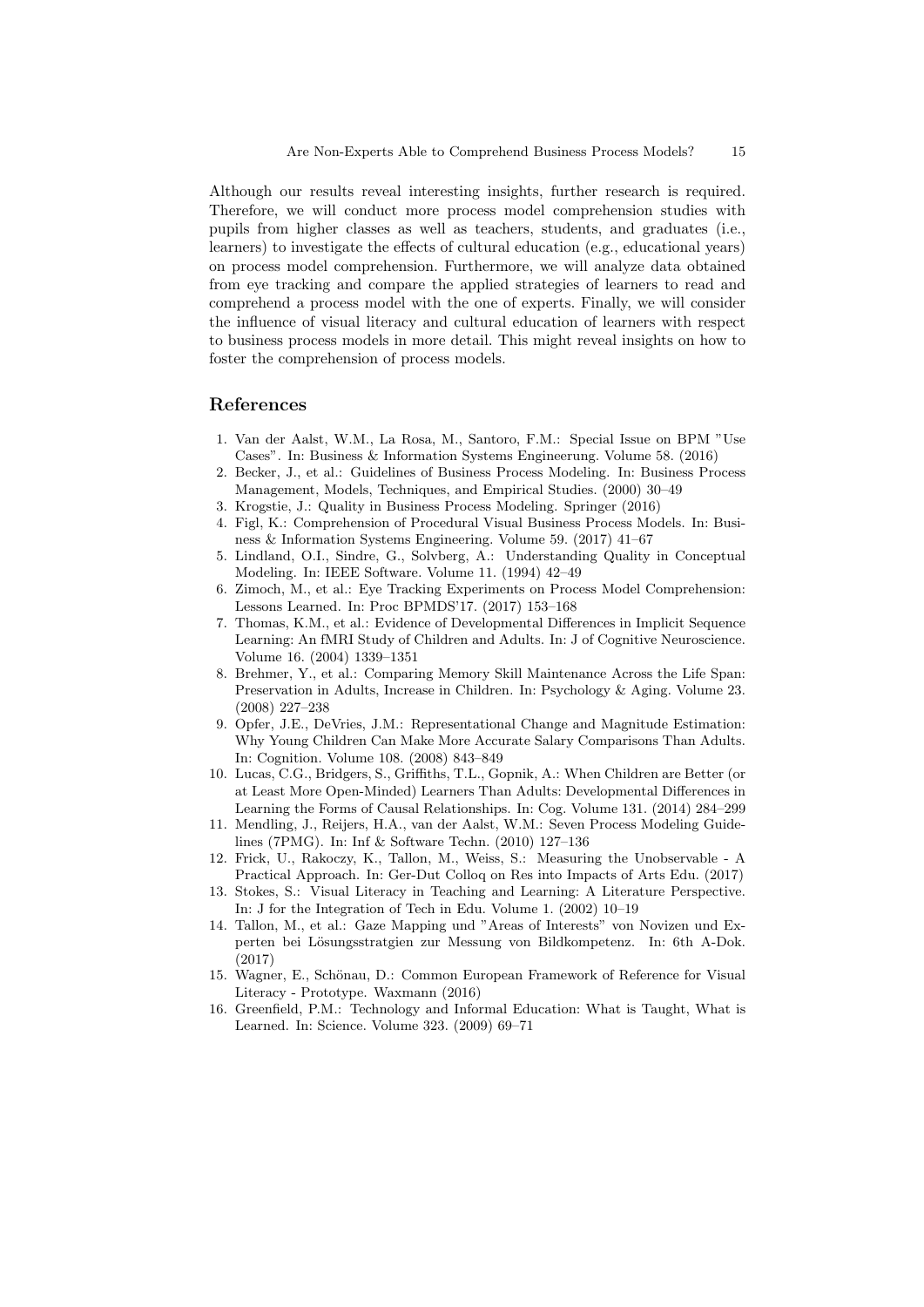Although our results reveal interesting insights, further research is required. Therefore, we will conduct more process model comprehension studies with pupils from higher classes as well as teachers, students, and graduates (i.e., learners) to investigate the effects of cultural education (e.g., educational years) on process model comprehension. Furthermore, we will analyze data obtained from eye tracking and compare the applied strategies of learners to read and comprehend a process model with the one of experts. Finally, we will consider the influence of visual literacy and cultural education of learners with respect to business process models in more detail. This might reveal insights on how to foster the comprehension of process models.

# References

- <span id="page-14-0"></span>1. Van der Aalst, W.M., La Rosa, M., Santoro, F.M.: Special Issue on BPM "Use Cases". In: Business & Information Systems Engineerung. Volume 58. (2016)
- <span id="page-14-1"></span>2. Becker, J., et al.: Guidelines of Business Process Modeling. In: Business Process Management, Models, Techniques, and Empirical Studies. (2000) 30–49
- <span id="page-14-2"></span>3. Krogstie, J.: Quality in Business Process Modeling. Springer (2016)
- <span id="page-14-3"></span>4. Figl, K.: Comprehension of Procedural Visual Business Process Models. In: Business & Information Systems Engineering. Volume 59. (2017) 41–67
- <span id="page-14-4"></span>5. Lindland, O.I., Sindre, G., Solvberg, A.: Understanding Quality in Conceptual Modeling. In: IEEE Software. Volume 11. (1994) 42–49
- <span id="page-14-5"></span>6. Zimoch, M., et al.: Eye Tracking Experiments on Process Model Comprehension: Lessons Learned. In: Proc BPMDS'17. (2017) 153–168
- <span id="page-14-6"></span>7. Thomas, K.M., et al.: Evidence of Developmental Differences in Implicit Sequence Learning: An fMRI Study of Children and Adults. In: J of Cognitive Neuroscience. Volume 16. (2004) 1339–1351
- <span id="page-14-7"></span>8. Brehmer, Y., et al.: Comparing Memory Skill Maintenance Across the Life Span: Preservation in Adults, Increase in Children. In: Psychology & Aging. Volume 23. (2008) 227–238
- <span id="page-14-8"></span>9. Opfer, J.E., DeVries, J.M.: Representational Change and Magnitude Estimation: Why Young Children Can Make More Accurate Salary Comparisons Than Adults. In: Cognition. Volume 108. (2008) 843–849
- <span id="page-14-9"></span>10. Lucas, C.G., Bridgers, S., Griffiths, T.L., Gopnik, A.: When Children are Better (or at Least More Open-Minded) Learners Than Adults: Developmental Differences in Learning the Forms of Causal Relationships. In: Cog. Volume 131. (2014) 284–299
- <span id="page-14-10"></span>11. Mendling, J., Reijers, H.A., van der Aalst, W.M.: Seven Process Modeling Guidelines (7PMG). In: Inf & Software Techn. (2010) 127–136
- <span id="page-14-11"></span>12. Frick, U., Rakoczy, K., Tallon, M., Weiss, S.: Measuring the Unobservable - A Practical Approach. In: Ger-Dut Colloq on Res into Impacts of Arts Edu. (2017)
- <span id="page-14-12"></span>13. Stokes, S.: Visual Literacy in Teaching and Learning: A Literature Perspective. In: J for the Integration of Tech in Edu. Volume 1. (2002) 10–19
- <span id="page-14-13"></span>14. Tallon, M., et al.: Gaze Mapping und "Areas of Interests" von Novizen und Experten bei Lösungsstratgien zur Messung von Bildkompetenz. In: 6th A-Dok. (2017)
- <span id="page-14-14"></span>15. Wagner, E., Schönau, D.: Common European Framework of Reference for Visual Literacy - Prototype. Waxmann (2016)
- <span id="page-14-15"></span>16. Greenfield, P.M.: Technology and Informal Education: What is Taught, What is Learned. In: Science. Volume 323. (2009) 69–71